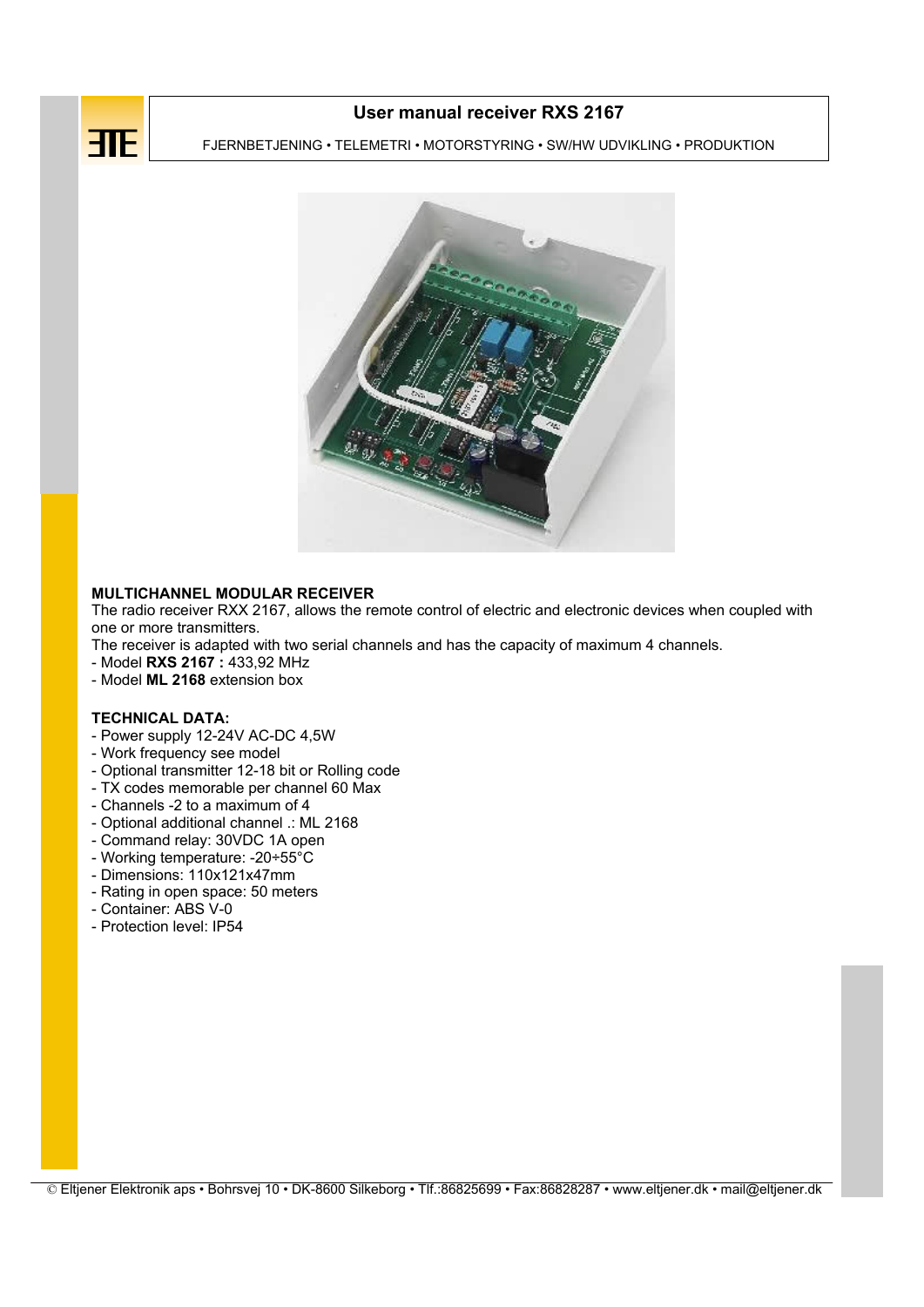

# User manual receiver RXS 2167

FJERNBETJENING • TELEMETRI • MOTORSTYRING • SW/HW UDVIKLING • PRODUKTION

Page 1 of 3



# MULTICHANNEL MODULAR RECEIVER

The radio receiver RXX 2167, allows the remote control of electric and electronic devices when coupled with one or more transmitters.

The receiver is adapted with two serial channels and has the capacity of maximum 4 channels.

- Model RXS 2167 : 433,92 MHz
- Model ML 2168 extension box

#### TECHNICAL DATA:

- Power supply 12-24V AC-DC 4,5W
- Work frequency see model
- Optional transmitter 12-18 bit or Rolling code
- TX codes memorable per channel 60 Max
- Channels -2 to a maximum of 4
- Optional additional channel .: ML 2168
- Command relay: 30VDC 1A open
- Working temperature: -20÷55°C
- Dimensions: 110x121x47mm
- Rating in open space: 50 meters
- Container: ABS V-0
- Protection level: IP54

© Eltjener Elektronik aps • Bohrsvej 10 • DK-8600 Silkeborg • Tlf.:86825699 • Fax:86828287 • www.eltjener.dk • mail@eltjener.dk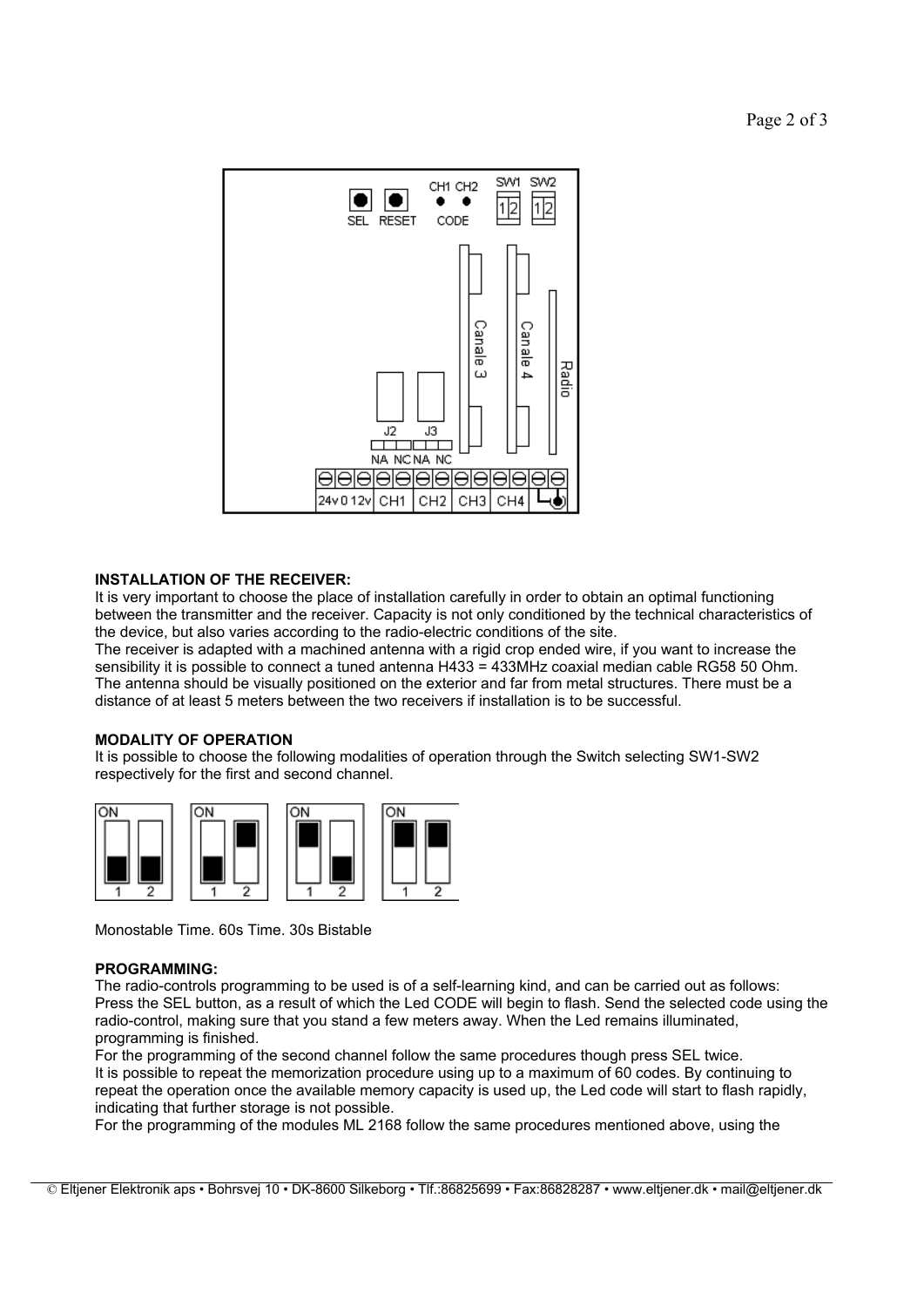

# INSTALLATION OF THE RECEIVER:

It is very important to choose the place of installation carefully in order to obtain an optimal functioning between the transmitter and the receiver. Capacity is not only conditioned by the technical characteristics of the device, but also varies according to the radio-electric conditions of the site.

The receiver is adapted with a machined antenna with a rigid crop ended wire, if you want to increase the sensibility it is possible to connect a tuned antenna H433 = 433MHz coaxial median cable RG58 50 Ohm. The antenna should be visually positioned on the exterior and far from metal structures. There must be a distance of at least 5 meters between the two receivers if installation is to be successful.

## MODALITY OF OPERATION

It is possible to choose the following modalities of operation through the Switch selecting SW1-SW2 respectively for the first and second channel.



Monostable Time. 60s Time. 30s Bistable

## PROGRAMMING:

The radio-controls programming to be used is of a self-learning kind, and can be carried out as follows: Press the SEL button, as a result of which the Led CODE will begin to flash. Send the selected code using the radio-control, making sure that you stand a few meters away. When the Led remains illuminated, programming is finished.

For the programming of the second channel follow the same procedures though press SEL twice. It is possible to repeat the memorization procedure using up to a maximum of 60 codes. By continuing to repeat the operation once the available memory capacity is used up, the Led code will start to flash rapidly, indicating that further storage is not possible.

For the programming of the modules ML 2168 follow the same procedures mentioned above, using the